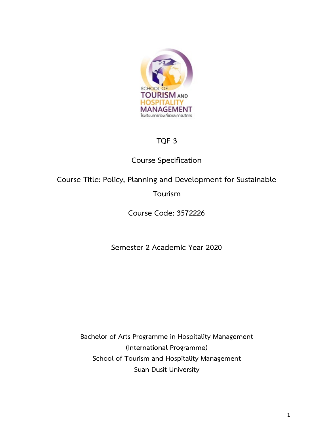

# **TQF 3**

# **Course Specification**

# **Course Title: Policy, Planning and Development for Sustainable**

# **Tourism**

# **Course Code: 3572226**

# **Semester 2 Academic Year 2020**

**Bachelor of Arts Programme in Hospitality Management (International Programme) School of Tourism and Hospitality Management Suan Dusit University**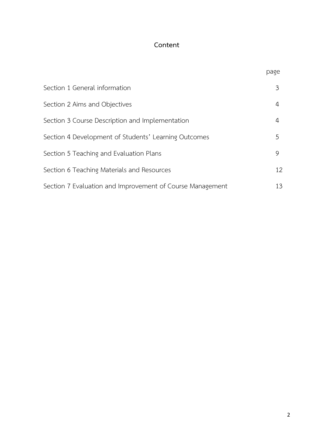# **Content**

| Я<br>C |
|--------|
|        |

| Section 1 General information                             | 3  |
|-----------------------------------------------------------|----|
| Section 2 Aims and Objectives                             | 4  |
| Section 3 Course Description and Implementation           | 4  |
| Section 4 Development of Students' Learning Outcomes      | 5  |
| Section 5 Teaching and Evaluation Plans                   | 9  |
| Section 6 Teaching Materials and Resources                | 12 |
| Section 7 Evaluation and Improvement of Course Management | 13 |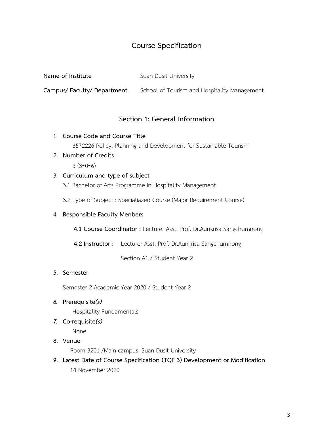# **Course Specification**

| Suan Dusit University |
|-----------------------|
|                       |

**Campus/ Faculty/ Department** School of Tourism and Hospitality Management

## **Section 1: General Information**

- 1. **Course Code and Course Title** 3572226 Policy, Planning and Development for Sustainable Tourism
- **2. Number of Credits**  $3(3-0-6)$

## 3. **Curriculum and type of subject**

3.1 Bachelor of Arts Programme in Hospitality Management

3.2 Type of Subject : Specialiazed Course (Major Requirement Course)

### 4. **Responsible Faculty Menbers**

**4.1 Course Coordinator :** Lecturer Asst. Prof. Dr.Aunkrisa Sangchumnong

**4.2 Instructor :** Lecturer Asst. Prof. Dr.Aunkrisa Sangchumnong

Section A1 / Student Year 2

#### **5. Semester**

Semester 2 Academic Year 2020 / Student Year 2

*6.* **Prerequisite***(s)*

Hospitality Fundamentals

*7.* **Co-requisite***(s)*

None

## **8. Venue**

Room 3201 /Main campus, Suan Dusit University

**9. Latest Date of Course Specification (TQF 3) Development or Modification** 14 November 2020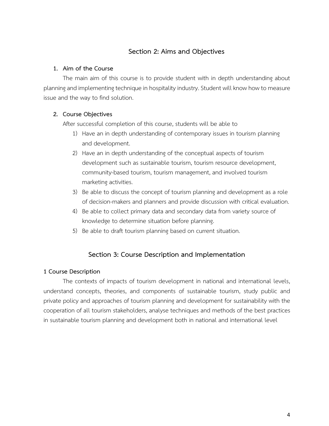## **Section 2: Aims and Objectives**

### **1. Aim of the Course**

The main aim of this course is to provide student with in depth understanding about planning and implementing technique in hospitality industry. Student will know how to measure issue and the way to find solution.

## **2. Course Objectives**

After successful completion of this course, students will be able to

- 1) Have an in depth understanding of contemporary issues in tourism planning and development.
- 2) Have an in depth understanding of the conceptual aspects of tourism development such as sustainable tourism, tourism resource development, community-based tourism, tourism management, and involved tourism marketing activities.
- 3) Be able to discuss the concept of tourism planning and development as a role of decision-makers and planners and provide discussion with critical evaluation.
- 4) Be able to collect primary data and secondary data from variety source of knowledge to determine situation before planning.
- 5) Be able to draft tourism planning based on current situation.

## **Section 3: Course Description and Implementation**

## **1 Course Description**

The contexts of impacts of tourism development in national and international levels, understand concepts, theories, and components of sustainable tourism, study public and private policy and approaches of tourism planning and development for sustainability with the cooperation of all tourism stakeholders, analyse techniques and methods of the best practices in sustainable tourism planning and development both in national and international level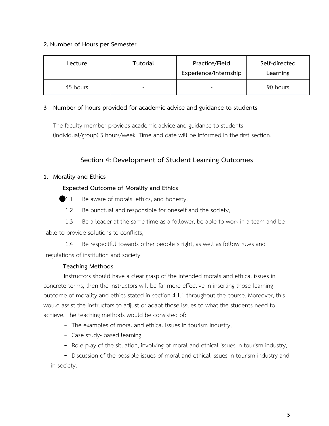## **2. Number of Hours per Semester**

| Lecture  | Tutorial | Practice/Field<br>Experience/Internship | Self-directed<br>Learning |
|----------|----------|-----------------------------------------|---------------------------|
| 45 hours |          |                                         | 90 hours                  |

## **3 Number of hours provided for academic advice and guidance to students**

The faculty member provides academic advice and guidance to students (individual/group) 3 hours/week. Time and date will be informed in the first section.

## **Section 4: Development of Student Learning Outcomes**

## **1. Morality and Ethics**

## **Expected Outcome of Morality and Ethics**

- 1.1 Be aware of morals, ethics, and honesty,
- 1.2 Be punctual and responsible for oneself and the society,

1.3 Be a leader at the same time as a follower, be able to work in a team and be able to provide solutions to conflicts,

1.4 Be respectful towards other people's right, as well as follow rules and regulations of institution and society.

## **Teaching Methods**

 Instructors should have a clear grasp of the intended morals and ethical issues in concrete terms, then the instructors will be far more effective in inserting those learning outcome of morality and ethics stated in section 4.1.1 throughout the course. Moreover, this would assist the instructors to adjust or adapt those issues to what the students need to achieve. The teaching methods would be consisted of:

- The examples of moral and ethical issues in tourism industry,
- Case study- based learning
- Role play of the situation, involving of moral and ethical issues in tourism industry,

- Discussion of the possible issues of moral and ethical issues in tourism industry and in society.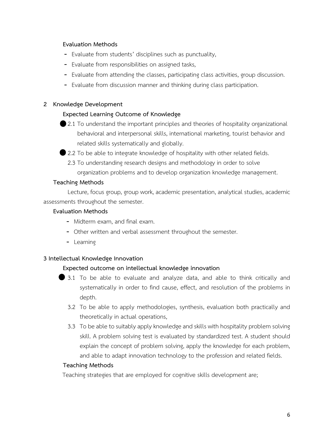#### **Evaluation Methods**

- Evaluate from students' disciplines such as punctuality,
- Evaluate from responsibilities on assigned tasks,
- Evaluate from attending the classes, participating class activities, group discussion.
- Evaluate from discussion manner and thinking during class participation.

### **2 Knowledge Development**

#### **Expected Learning Outcome of Knowledge**

2.1 To understand the important principles and theories of hospitality organizational behavioral and interpersonal skills, international marketing, tourist behavior and related skills systematically and globally.

2.2 To be able to integrate knowledge of hospitality with other related fields.

2.3 To understanding research designs and methodology in order to solve organization problems and to develop organization knowledge management.

#### **Teaching Methods**

Lecture, focus group, group work, academic presentation, analytical studies, academic assessments throughout the semester.

#### **Evaluation Methods**

- Midterm exam, and final exam.
- Other written and verbal assessment throughout the semester.
- Learning

#### **3 Intellectual Knowledge Innovation**

#### **Expected outcome on intellectual knowledge innovation**

- 3.1 To be able to evaluate and analyze data, and able to think critically and systematically in order to find cause, effect, and resolution of the problems in depth.
	- 3.2 To be able to apply methodologies, synthesis, evaluation both practically and theoretically in actual operations,
	- 3.3 To be able to suitably apply knowledge and skills with hospitality problem solving skill. A problem solving test is evaluated by standardized test. A student should explain the concept of problem solving, apply the knowledge for each problem, and able to adapt innovation technology to the profession and related fields.

## **Teaching Methods**

Teaching strategies that are employed for cognitive skills development are;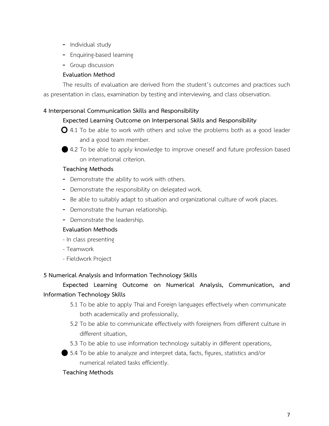- Individual study
- Enquiring-based learning
- Group discussion

## **Evaluation Method**

The results of evaluation are derived from the student's outcomes and practices such as presentation in class, examination by testing and interviewing, and class observation.

## **4 Interpersonal Communication Skills and Responsibility**

## **Expected Learning Outcome on Interpersonal Skills and Responsibility**

- $\bigcirc$  4.1 To be able to work with others and solve the problems both as a good leader and a good team member.
- 4.2 To be able to apply knowledge to improve oneself and future profession based on international criterion.

## **Teaching Methods**

- Demonstrate the ability to work with others.
- Demonstrate the responsibility on delegated work.
- Be able to suitably adapt to situation and organizational culture of work places.
- Demonstrate the human relationship.
- Demonstrate the leadership.

## **Evaluation Methods**

- In class presenting
- Teamwork
- Fieldwork Project

## **5 Numerical Analysis and Information Technology Skills**

# **Expected Learning Outcome on Numerical Analysis, Communication, and Information Technology Skills**

- 5.1 To be able to apply Thai and Foreign languages effectively when communicate both academically and professionally,
- 5.2 To be able to communicate effectively with foreigners from different culture in different situation,
- 5.3 To be able to use information technology suitably in different operations,
- 5.4 To be able to analyze and interpret data, facts, figures, statistics and/or numerical related tasks efficiently.

## **Teaching Methods**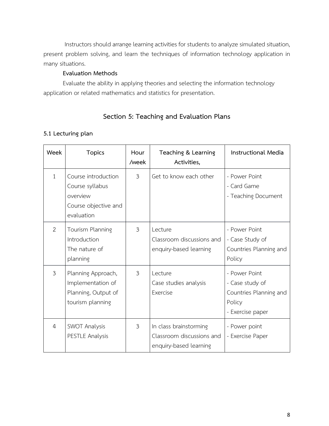Instructors should arrange learning activities for students to analyze simulated situation, present problem solving, and learn the techniques of information technology application in many situations.

## **Evaluation Methods**

Evaluate the ability in applying theories and selecting the information technology application or related mathematics and statistics for presentation.

## **Section 5: Teaching and Evaluation Plans**

## **5.1 Lecturing plan**

| Week           | <b>Topics</b>                                                                            | Hour<br>/week  | Teaching & Learning<br>Activities,                                            | <b>Instructional Media</b>                                                               |
|----------------|------------------------------------------------------------------------------------------|----------------|-------------------------------------------------------------------------------|------------------------------------------------------------------------------------------|
| $\mathbf{1}$   | Course introduction<br>Course syllabus<br>overview<br>Course objective and<br>evaluation | $\mathfrak{Z}$ | Get to know each other                                                        | - Power Point<br>- Card Game<br>- Teaching Document                                      |
| 2              | Tourism Planning<br>Introduction<br>The nature of<br>planning                            | 3              | Lecture<br>Classroom discussions and<br>enquiry-based learning                | - Power Point<br>- Case Study of<br>Countries Planning and<br>Policy                     |
| $\mathfrak{Z}$ | Planning Approach,<br>Implementation of<br>Planning, Output of<br>tourism planning       | $\mathfrak{Z}$ | Lecture<br>Case studies analysis<br>Exercise                                  | - Power Point<br>- Case study of<br>Countries Planning and<br>Policy<br>- Exercise paper |
| $\overline{4}$ | SWOT Analysis<br>PESTLE Analysis                                                         | 3              | In class brainstorming<br>Classroom discussions and<br>enquiry-based learning | - Power point<br>- Exercise Paper                                                        |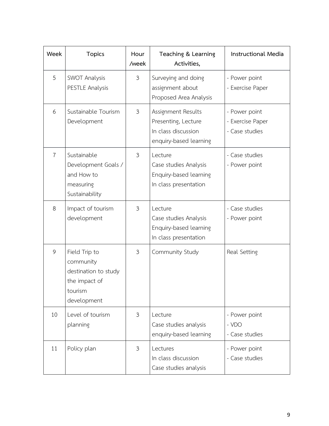| Week           | <b>Topics</b>                                                                                 | Hour<br>/week  | Teaching & Learning<br>Activities,                                                         | Instructional Media                                 |
|----------------|-----------------------------------------------------------------------------------------------|----------------|--------------------------------------------------------------------------------------------|-----------------------------------------------------|
| 5              | <b>SWOT Analysis</b><br>PESTLE Analysis                                                       | $\mathfrak{Z}$ | Surveying and doing<br>assignment about<br>Proposed Area Analysis                          | - Power point<br>- Exercise Paper                   |
| 6              | Sustainable Tourism<br>Development                                                            | 3              | Assignment Results<br>Presenting, Lecture<br>In class discussion<br>enquiry-based learning | - Power point<br>- Exercise Paper<br>- Case studies |
| $\overline{7}$ | Sustainable<br>Development Goals /<br>and How to<br>measuring<br>Sustainability               | $\mathfrak{Z}$ | Lecture<br>Case studies Analysis<br>Enquiry-based learning<br>In class presentation        | - Case studies<br>- Power point                     |
| 8              | Impact of tourism<br>development                                                              | 3              | Lecture<br>Case studies Analysis<br>Enquiry-based learning<br>In class presentation        | - Case studies<br>- Power point                     |
| 9              | Field Trip to<br>community<br>destination to study<br>the impact of<br>tourism<br>development | 3              | Community Study                                                                            | Real Setting                                        |
| 10             | Level of tourism<br>planning                                                                  | 3              | Lecture<br>Case studies analysis<br>enquiry-based learning                                 | - Power point<br>- VDO<br>- Case studies            |
| 11             | Policy plan                                                                                   | 3              | Lectures<br>In class discussion<br>Case studies analysis                                   | - Power point<br>- Case studies                     |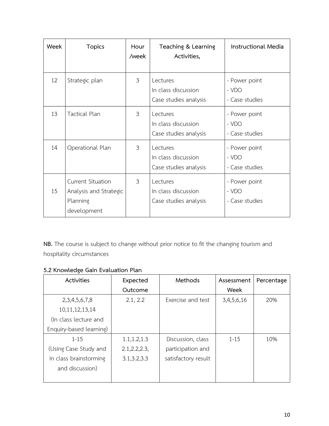| Week | <b>Topics</b>                                                          | Hour<br>/week  | Teaching & Learning<br>Activities,                       | Instructional Media                      |
|------|------------------------------------------------------------------------|----------------|----------------------------------------------------------|------------------------------------------|
| 12   | Strategic plan                                                         | $\mathfrak{Z}$ | Lectures<br>In class discussion<br>Case studies analysis | - Power point<br>- VDO<br>- Case studies |
| 13   | Tactical Plan                                                          | 3              | Lectures<br>In class discussion<br>Case studies analysis | - Power point<br>- VDO<br>- Case studies |
| 14   | Operational Plan                                                       | $\mathfrak{Z}$ | Lectures<br>In class discussion<br>Case studies analysis | - Power point<br>- VDO<br>- Case studies |
| 15   | Current Situation<br>Analysis and Strategic<br>Planning<br>development | 3              | Lectures<br>In class discussion<br>Case studies analysis | - Power point<br>- VDO<br>- Case studies |

**NB.** The course is subject to change without prior notice to fit the changing tourism and hospitality circumstances

| Activities              | Expected       | Methods             | Assessment | Percentage |
|-------------------------|----------------|---------------------|------------|------------|
|                         | Outcome        |                     | Week       |            |
| 2, 3, 4, 5, 6, 7, 8     | 2.1, 2.2       | Exercise and test   | 3,4,5,6,16 | 20%        |
| 10, 11, 12, 13, 14      |                |                     |            |            |
| (In class lecture and   |                |                     |            |            |
| Enquiry-based learning) |                |                     |            |            |
| $1 - 15$                | 1.1, 1.2, 1.3  | Discussion, class   | $1 - 15$   | 10%        |
| (Using Case Study and   | 2.1, 2.2, 2.3, | participation and   |            |            |
| In class brainstorming  | 3.1, 3.2, 3.3  | satisfactory result |            |            |
| and discussion)         |                |                     |            |            |
|                         |                |                     |            |            |

## **5.2 Knowledge Gain Evaluation Plan**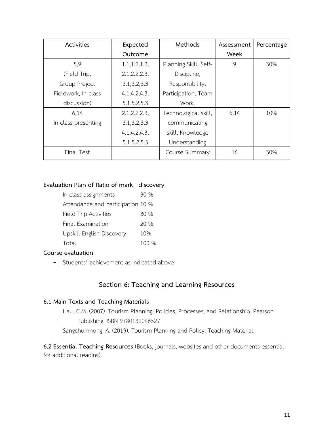| <b>Activities</b>   | Expected       | Methods               | Assessment | Percentage |
|---------------------|----------------|-----------------------|------------|------------|
|                     | Outcome        |                       | Week       |            |
| 5,9                 | 1.1, 1.2, 1.3, | Planning Skill, Self- | 9          | 30%        |
| (Field Trip,        | 2.1, 2.2, 2.3, | Discipline,           |            |            |
| Group Project       | 3.1, 3.2, 3.3  | Responsibility,       |            |            |
| Fieldwork, In class | 4.1, 4.2, 4.3, | Participation, Team   |            |            |
| discussion)         | 5.1, 5.2, 5.3  | Work,                 |            |            |
| 6,14                | 2.1, 2.2, 2.3, | Technological skill,  | 6,14       | 10%        |
| In class presenting | 3.1, 3.2, 3.3  | communicating         |            |            |
|                     | 4.1, 4.2, 4.3, | skill, Knowledge      |            |            |
|                     | 5.1, 5.2, 5.3  | Understanding         |            |            |
| Final Test          |                | Course Summary        | 16         | 30%        |

### **Evaluation Plan of Ratio of mark discovery**

| In class assignments              | 30 %  |
|-----------------------------------|-------|
| Attendance and participation 10 % |       |
| Field Trip Activities             | 30 %  |
| Final Examination                 | 20 %  |
| Upskill English Discovery         | 10%   |
| Total                             | 100 % |

## **Course evaluation**

- Students' achievement as indicated above

## **Section 6: Teaching and Learning Resources**

#### **6.1 Main Texts and Teaching Materials**

Hall, C.M. (2007). Tourism Planning: Policies, Processes, and Relationship. Pearson Publishing. ISBN 9780132046527 Sangchumnong, A. (2019). Tourism Planning and Policy. Teaching Material.

**6.2 Essential Teaching Resources** (Books, journals, websites and other documents essential for additional reading)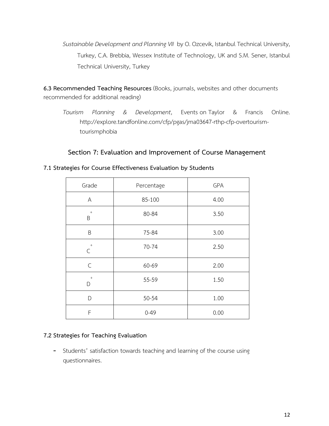Sustainable Development and Planning VII by O. Ozcevik, Istanbul Technical University, Turkey, C.A. Brebbia, Wessex Institute of Technology, UK and S.M. Sener, Istanbul Technical University, Turkey

**6.3 Recommended Teaching Resources** (Books, journals, websites and other documents recommended for additional reading)

*Tourism Planning & Development*, Events on Taylor & Francis Online. http://explore.tandfonline.com/cfp/pgas/jma03647-rthp-cfp-overtourismtourismphobia

## **Section 7: Evaluation and Improvement of Course Management**

| Grade                 | Percentage | GPA  |
|-----------------------|------------|------|
| A                     | 85-100     | 4.00 |
| $\,$ + $\,$<br>B      | 80-84      | 3.50 |
| B                     | 75-84      | 3.00 |
| $\pm$<br>$\mathsf{C}$ | 70-74      | 2.50 |
| $\mathsf C$           | 60-69      | 2.00 |
| $^+$<br>D             | 55-59      | 1.50 |
| D                     | 50-54      | 1.00 |
| F                     | $0 - 49$   | 0.00 |

#### **7.1 Strategies for Course Effectiveness Evaluation by Students**

## **7.2 Strategies for Teaching Evaluation**

- Students' satisfaction towards teaching and learning of the course using questionnaires.